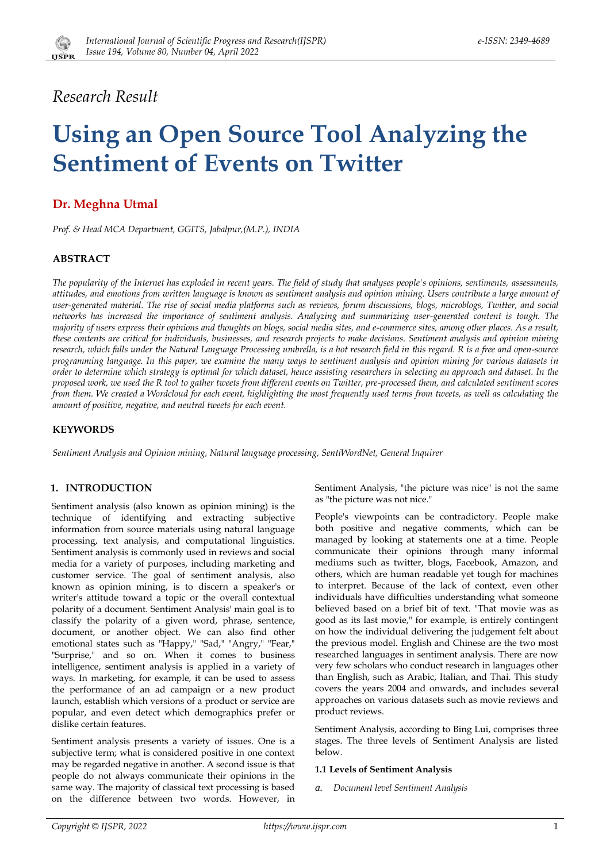# *Research Result*

# **Using an Open Source Tool Analyzing the Sentiment of Events on Twitter**

# **Dr. Meghna Utmal**

*Prof. & Head MCA Department, GGITS, Jabalpur,(M.P.), INDIA*

# **ABSTRACT**

*The popularity of the Internet has exploded in recent years. The field of study that analyses people's opinions, sentiments, assessments, attitudes, and emotions from written language is known as sentiment analysis and opinion mining. Users contribute a large amount of user-generated material. The rise of social media platforms such as reviews, forum discussions, blogs, microblogs, Twitter, and social networks has increased the importance of sentiment analysis. Analyzing and summarizing user-generated content is tough. The majority of users express their opinions and thoughts on blogs, social media sites, and e-commerce sites, among other places. As a result, these contents are critical for individuals, businesses, and research projects to make decisions. Sentiment analysis and opinion mining research, which falls under the Natural Language Processing umbrella, is a hot research field in this regard. R is a free and open-source programming language. In this paper, we examine the many ways to sentiment analysis and opinion mining for various datasets in order to determine which strategy is optimal for which dataset, hence assisting researchers in selecting an approach and dataset. In the proposed work, we used the R tool to gather tweets from different events on Twitter, pre-processed them, and calculated sentiment scores from them. We created a Wordcloud for each event, highlighting the most frequently used terms from tweets, as well as calculating the amount of positive, negative, and neutral tweets for each event.*

# **KEYWORDS**

*Sentiment Analysis and Opinion mining, Natural language processing, SentiWordNet, General Inquirer*

# **1. INTRODUCTION**

Sentiment analysis (also known as opinion mining) is the technique of identifying and extracting subjective information from source materials using natural language processing, text analysis, and computational linguistics. Sentiment analysis is commonly used in reviews and social media for a variety of purposes, including marketing and customer service. The goal of sentiment analysis, also known as opinion mining, is to discern a speaker's or writer's attitude toward a topic or the overall contextual polarity of a document. Sentiment Analysis' main goal is to classify the polarity of a given word, phrase, sentence, document, or another object. We can also find other emotional states such as "Happy," "Sad," "Angry," "Fear," "Surprise," and so on. When it comes to business intelligence, sentiment analysis is applied in a variety of ways. In marketing, for example, it can be used to assess the performance of an ad campaign or a new product launch, establish which versions of a product or service are popular, and even detect which demographics prefer or dislike certain features.

Sentiment analysis presents a variety of issues. One is a subjective term; what is considered positive in one context may be regarded negative in another. A second issue is that people do not always communicate their opinions in the same way. The majority of classical text processing is based on the difference between two words. However, in Sentiment Analysis, "the picture was nice" is not the same as "the picture was not nice."

People's viewpoints can be contradictory. People make both positive and negative comments, which can be managed by looking at statements one at a time. People communicate their opinions through many informal mediums such as twitter, blogs, Facebook, Amazon, and others, which are human readable yet tough for machines to interpret. Because of the lack of context, even other individuals have difficulties understanding what someone believed based on a brief bit of text. "That movie was as good as its last movie," for example, is entirely contingent on how the individual delivering the judgement felt about the previous model. English and Chinese are the two most researched languages in sentiment analysis. There are now very few scholars who conduct research in languages other than English, such as Arabic, Italian, and Thai. This study covers the years 2004 and onwards, and includes several approaches on various datasets such as movie reviews and product reviews.

Sentiment Analysis, according to Bing Lui, comprises three stages. The three levels of Sentiment Analysis are listed below.

#### **1.1 Levels of Sentiment Analysis**

*a. Document level Sentiment Analysis*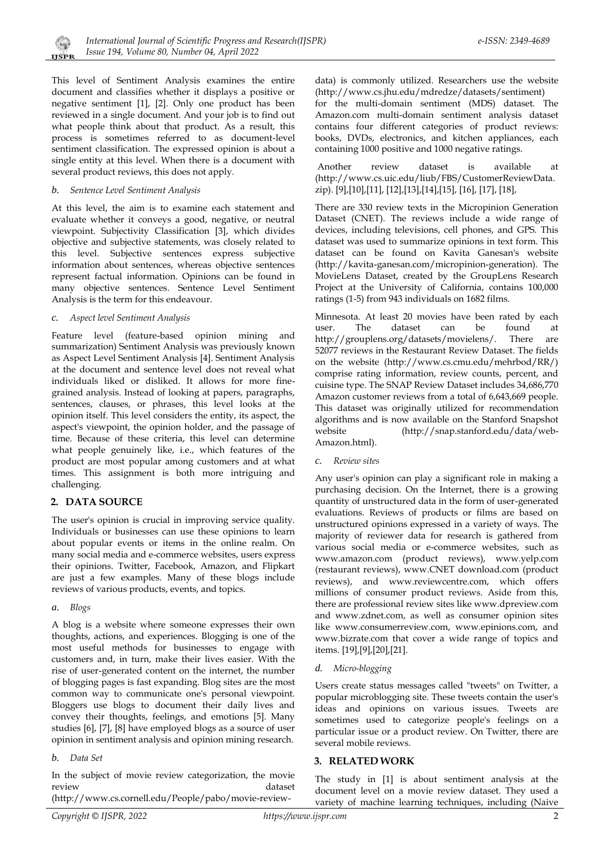This level of Sentiment Analysis examines the entire document and classifies whether it displays a positive or negative sentiment [1], [2]. Only one product has been reviewed in a single document. And your job is to find out what people think about that product. As a result, this process is sometimes referred to as document-level sentiment classification. The expressed opinion is about a single entity at this level. When there is a document with several product reviews, this does not apply.

#### *b. Sentence Level Sentiment Analysis*

At this level, the aim is to examine each statement and evaluate whether it conveys a good, negative, or neutral viewpoint. Subjectivity Classification [3], which divides objective and subjective statements, was closely related to this level. Subjective sentences express subjective information about sentences, whereas objective sentences represent factual information. Opinions can be found in many objective sentences. Sentence Level Sentiment Analysis is the term for this endeavour.

#### *c. Aspect level Sentiment Analysis*

Feature level (feature-based opinion mining and summarization) Sentiment Analysis was previously known as Aspect Level Sentiment Analysis [4]. Sentiment Analysis at the document and sentence level does not reveal what individuals liked or disliked. It allows for more finegrained analysis. Instead of looking at papers, paragraphs, sentences, clauses, or phrases, this level looks at the opinion itself. This level considers the entity, its aspect, the aspect's viewpoint, the opinion holder, and the passage of time. Because of these criteria, this level can determine what people genuinely like, i.e., which features of the product are most popular among customers and at what times. This assignment is both more intriguing and challenging.

# **2. DATA SOURCE**

The user's opinion is crucial in improving service quality. Individuals or businesses can use these opinions to learn about popular events or items in the online realm. On many social media and e-commerce websites, users express their opinions. Twitter, Facebook, Amazon, and Flipkart are just a few examples. Many of these blogs include reviews of various products, events, and topics.

#### *a. Blogs*

A blog is a website where someone expresses their own thoughts, actions, and experiences. Blogging is one of the most useful methods for businesses to engage with customers and, in turn, make their lives easier. With the rise of user-generated content on the internet, the number of blogging pages is fast expanding. Blog sites are the most common way to communicate one's personal viewpoint. Bloggers use blogs to document their daily lives and convey their thoughts, feelings, and emotions [5]. Many studies [6], [7], [8] have employed blogs as a source of user opinion in sentiment analysis and opinion mining research.

#### *b. Data Set*

In the subject of movie review categorization, the movie review dataset

(http://www.cs.cornell.edu/People/pabo/movie-review-

data) is commonly utilized. Researchers use the website (http://www.cs.jhu.edu/mdredze/datasets/sentiment)

for the multi-domain sentiment (MDS) dataset. The Amazon.com multi-domain sentiment analysis dataset contains four different categories of product reviews: books, DVDs, electronics, and kitchen appliances, each containing 1000 positive and 1000 negative ratings.

Another review dataset is available at (http://www.cs.uic.edu/liub/FBS/CustomerReviewData. zip). [9],[10],[11], [12],[13],[14],[15], [16], [17], [18],

There are 330 review texts in the Micropinion Generation Dataset (CNET). The reviews include a wide range of devices, including televisions, cell phones, and GPS. This dataset was used to summarize opinions in text form. This dataset can be found on Kavita Ganesan's website (http://kavita-ganesan.com/micropinion-generation). The MovieLens Dataset, created by the GroupLens Research Project at the University of California, contains 100,000 ratings (1-5) from 943 individuals on 1682 films.

Minnesota. At least 20 movies have been rated by each user. The dataset can be found at http://grouplens.org/datasets/movielens/. There are 52077 reviews in the Restaurant Review Dataset. The fields on the website (http://www.cs.cmu.edu/mehrbod/RR/) comprise rating information, review counts, percent, and cuisine type. The SNAP Review Dataset includes 34,686,770 Amazon customer reviews from a total of 6,643,669 people. This dataset was originally utilized for recommendation algorithms and is now available on the Stanford Snapshot website (http://snap.stanford.edu/data/web-Amazon.html).

*c. Review sites*

Any user's opinion can play a significant role in making a purchasing decision. On the Internet, there is a growing quantity of unstructured data in the form of user-generated evaluations. Reviews of products or films are based on unstructured opinions expressed in a variety of ways. The majority of reviewer data for research is gathered from various social media or e-commerce websites, such as www.amazon.com (product reviews), www.yelp.com (restaurant reviews), www.CNET download.com (product reviews), and www.reviewcentre.com, which offers millions of consumer product reviews. Aside from this, there are professional review sites like www.dpreview.com and www.zdnet.com, as well as consumer opinion sites like www.consumerreview.com, www.epinions.com, and www.bizrate.com that cover a wide range of topics and items. [19],[9],[20],[21].

#### *d. Micro-blogging*

Users create status messages called "tweets" on Twitter, a popular microblogging site. These tweets contain the user's ideas and opinions on various issues. Tweets are sometimes used to categorize people's feelings on a particular issue or a product review. On Twitter, there are several mobile reviews.

# **3. RELATED WORK**

The study in [1] is about sentiment analysis at the document level on a movie review dataset. They used a variety of machine learning techniques, including (Naive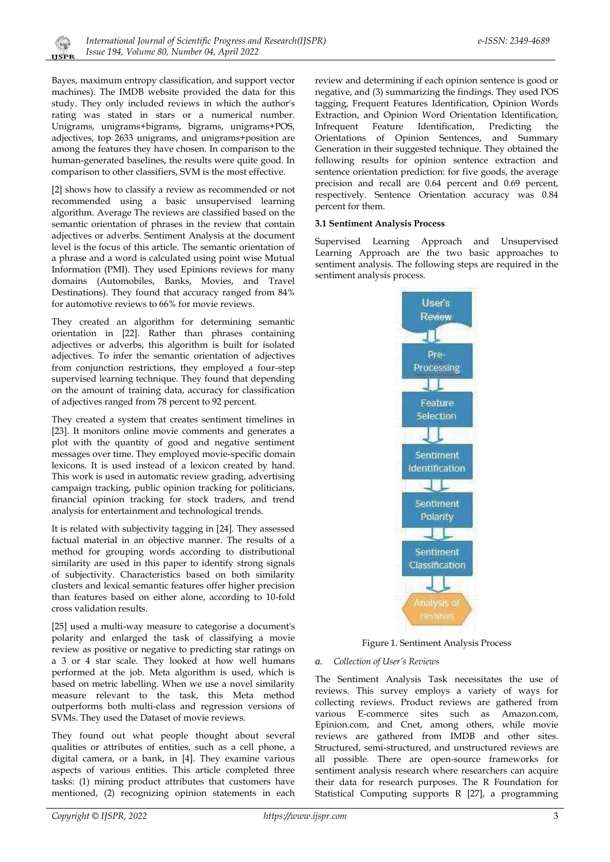Bayes, maximum entropy classification, and support vector machines). The IMDB website provided the data for this study. They only included reviews in which the author's rating was stated in stars or a numerical number. Unigrams, unigrams+bigrams, bigrams, unigrams+POS, adjectives, top 2633 unigrams, and unigrams+position are among the features they have chosen. In comparison to the human-generated baselines, the results were quite good. In comparison to other classifiers, SVM is the most effective.

**IJSPR** 

[2] shows how to classify a review as recommended or not recommended using a basic unsupervised learning algorithm. Average The reviews are classified based on the semantic orientation of phrases in the review that contain adjectives or adverbs. Sentiment Analysis at the document level is the focus of this article. The semantic orientation of a phrase and a word is calculated using point wise Mutual Information (PMI). They used Epinions reviews for many domains (Automobiles, Banks, Movies, and Travel Destinations). They found that accuracy ranged from 84% for automotive reviews to 66% for movie reviews.

They created an algorithm for determining semantic orientation in [22]. Rather than phrases containing adjectives or adverbs, this algorithm is built for isolated adjectives. To infer the semantic orientation of adjectives from conjunction restrictions, they employed a four-step supervised learning technique. They found that depending on the amount of training data, accuracy for classification of adjectives ranged from 78 percent to 92 percent.

They created a system that creates sentiment timelines in [23]. It monitors online movie comments and generates a plot with the quantity of good and negative sentiment messages over time. They employed movie-specific domain lexicons. It is used instead of a lexicon created by hand. This work is used in automatic review grading, advertising campaign tracking, public opinion tracking for politicians, financial opinion tracking for stock traders, and trend analysis for entertainment and technological trends.

It is related with subjectivity tagging in [24]. They assessed factual material in an objective manner. The results of a method for grouping words according to distributional similarity are used in this paper to identify strong signals of subjectivity. Characteristics based on both similarity clusters and lexical semantic features offer higher precision than features based on either alone, according to 10-fold cross validation results.

[25] used a multi-way measure to categorise a document's polarity and enlarged the task of classifying a movie review as positive or negative to predicting star ratings on a 3 or 4 star scale. They looked at how well humans performed at the job. Meta algorithm is used, which is based on metric labelling. When we use a novel similarity measure relevant to the task, this Meta method outperforms both multi-class and regression versions of SVMs. They used the Dataset of movie reviews.

They found out what people thought about several qualities or attributes of entities, such as a cell phone, a digital camera, or a bank, in [4]. They examine various aspects of various entities. This article completed three tasks: (1) mining product attributes that customers have mentioned, (2) recognizing opinion statements in each review and determining if each opinion sentence is good or negative, and (3) summarizing the findings. They used POS tagging, Frequent Features Identification, Opinion Words Extraction, and Opinion Word Orientation Identification, Infrequent Feature Identification, Predicting the Orientations of Opinion Sentences, and Summary Generation in their suggested technique. They obtained the following results for opinion sentence extraction and sentence orientation prediction: for five goods, the average precision and recall are 0.64 percent and 0.69 percent, respectively. Sentence Orientation accuracy was 0.84 percent for them.

# **3.1 Sentiment Analysis Process**

Supervised Learning Approach and Unsupervised Learning Approach are the two basic approaches to sentiment analysis. The following steps are required in the sentiment analysis process.



Figure 1. Sentiment Analysis Process

# *a. Collection of User's Reviews*

The Sentiment Analysis Task necessitates the use of reviews. This survey employs a variety of ways for collecting reviews. Product reviews are gathered from various E-commerce sites such as Amazon.com, Epinion.com, and Cnet, among others, while movie reviews are gathered from IMDB and other sites. Structured, semi-structured, and unstructured reviews are all possible. There are open-source frameworks for sentiment analysis research where researchers can acquire their data for research purposes. The R Foundation for Statistical Computing supports R [27], a programming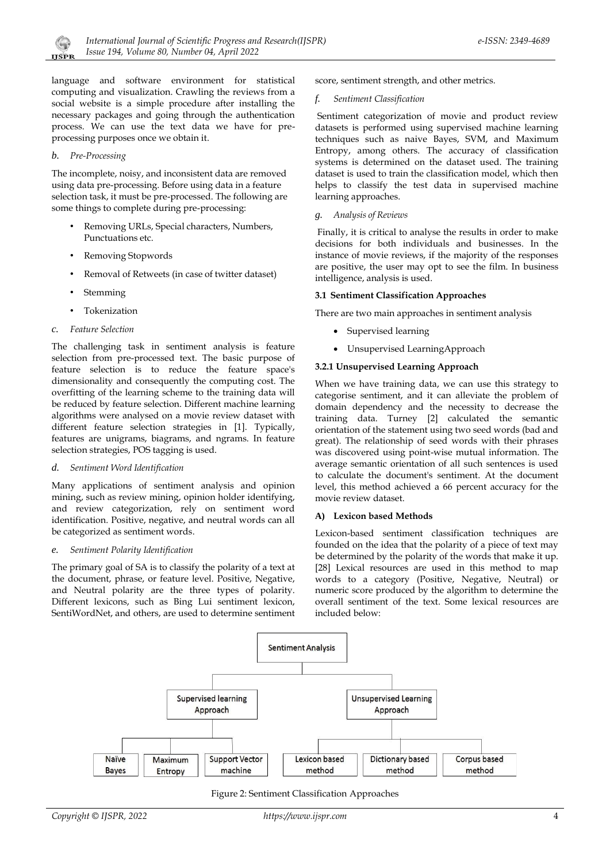language and software environment for statistical computing and visualization. Crawling the reviews from a social website is a simple procedure after installing the necessary packages and going through the authentication process. We can use the text data we have for preprocessing purposes once we obtain it.

#### *b. Pre-Processing*

The incomplete, noisy, and inconsistent data are removed using data pre-processing. Before using data in a feature selection task, it must be pre-processed. The following are some things to complete during pre-processing:

- Removing URLs, Special characters, Numbers, Punctuations etc.
- Removing Stopwords
- Removal of Retweets (in case of twitter dataset)
- **Stemming**
- **Tokenization**
- *c. Feature Selection*

The challenging task in sentiment analysis is feature selection from pre-processed text. The basic purpose of feature selection is to reduce the feature space's dimensionality and consequently the computing cost. The overfitting of the learning scheme to the training data will be reduced by feature selection. Different machine learning algorithms were analysed on a movie review dataset with different feature selection strategies in [1]. Typically, features are unigrams, biagrams, and ngrams. In feature selection strategies, POS tagging is used.

#### *d. Sentiment Word Identification*

Many applications of sentiment analysis and opinion mining, such as review mining, opinion holder identifying, and review categorization, rely on sentiment word identification. Positive, negative, and neutral words can all be categorized as sentiment words.

#### *e. Sentiment Polarity Identification*

The primary goal of SA is to classify the polarity of a text at the document, phrase, or feature level. Positive, Negative, and Neutral polarity are the three types of polarity. Different lexicons, such as Bing Lui sentiment lexicon, SentiWordNet, and others, are used to determine sentiment score, sentiment strength, and other metrics.

#### *f. Sentiment Classification*

Sentiment categorization of movie and product review datasets is performed using supervised machine learning techniques such as naive Bayes, SVM, and Maximum Entropy, among others. The accuracy of classification systems is determined on the dataset used. The training dataset is used to train the classification model, which then helps to classify the test data in supervised machine learning approaches.

#### *g. Analysis of Reviews*

Finally, it is critical to analyse the results in order to make decisions for both individuals and businesses. In the instance of movie reviews, if the majority of the responses are positive, the user may opt to see the film. In business intelligence, analysis is used.

#### **3.1 Sentiment Classification Approaches**

There are two main approaches in sentiment analysis

- Supervised learning
- Unsupervised LearningApproach

#### **3.2.1 Unsupervised Learning Approach**

When we have training data, we can use this strategy to categorise sentiment, and it can alleviate the problem of domain dependency and the necessity to decrease the training data. Turney [2] calculated the semantic orientation of the statement using two seed words (bad and great). The relationship of seed words with their phrases was discovered using point-wise mutual information. The average semantic orientation of all such sentences is used to calculate the document's sentiment. At the document level, this method achieved a 66 percent accuracy for the movie review dataset.

#### **A) Lexicon based Methods**

Lexicon-based sentiment classification techniques are founded on the idea that the polarity of a piece of text may be determined by the polarity of the words that make it up. [28] Lexical resources are used in this method to map words to a category (Positive, Negative, Neutral) or numeric score produced by the algorithm to determine the overall sentiment of the text. Some lexical resources are included below:



Figure 2: Sentiment Classification Approaches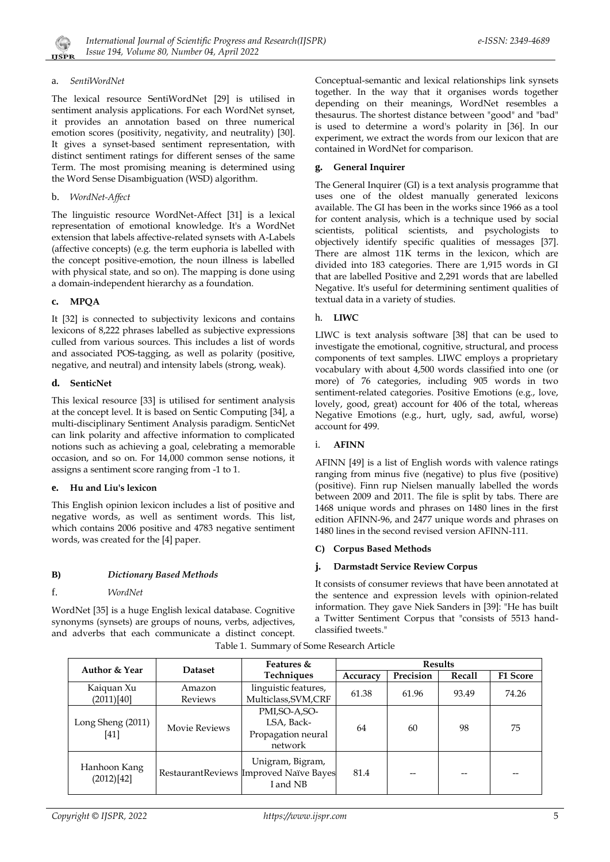# a. *SentiWordNet*

The lexical resource SentiWordNet [29] is utilised in sentiment analysis applications. For each WordNet synset, it provides an annotation based on three numerical emotion scores (positivity, negativity, and neutrality) [30]. It gives a synset-based sentiment representation, with distinct sentiment ratings for different senses of the same Term. The most promising meaning is determined using the Word Sense Disambiguation (WSD) algorithm.

# b. *WordNet-Affect*

The linguistic resource WordNet-Affect [31] is a lexical representation of emotional knowledge. It's a WordNet extension that labels affective-related synsets with A-Labels (affective concepts) (e.g. the term euphoria is labelled with the concept positive-emotion, the noun illness is labelled with physical state, and so on). The mapping is done using a domain-independent hierarchy as a foundation.

# **c. MPQA**

It [32] is connected to subjectivity lexicons and contains lexicons of 8,222 phrases labelled as subjective expressions culled from various sources. This includes a list of words and associated POS-tagging, as well as polarity (positive, negative, and neutral) and intensity labels (strong, weak).

# **d. SenticNet**

This lexical resource [33] is utilised for sentiment analysis at the concept level. It is based on Sentic Computing [34], a multi-disciplinary Sentiment Analysis paradigm. SenticNet can link polarity and affective information to complicated notions such as achieving a goal, celebrating a memorable occasion, and so on. For 14,000 common sense notions, it assigns a sentiment score ranging from -1 to 1.

# **e. Hu and Liu's lexicon**

This English opinion lexicon includes a list of positive and negative words, as well as sentiment words. This list, which contains 2006 positive and 4783 negative sentiment words, was created for the [4] paper.

# **B)** *Dictionary Based Methods*

f. *WordNet*

WordNet [35] is a huge English lexical database. Cognitive synonyms (synsets) are groups of nouns, verbs, adjectives, and adverbs that each communicate a distinct concept. Conceptual-semantic and lexical relationships link synsets together. In the way that it organises words together depending on their meanings, WordNet resembles a thesaurus. The shortest distance between "good" and "bad" is used to determine a word's polarity in [36]. In our experiment, we extract the words from our lexicon that are contained in WordNet for comparison.

# **g. General Inquirer**

The General Inquirer (GI) is a text analysis programme that uses one of the oldest manually generated lexicons available. The GI has been in the works since 1966 as a tool for content analysis, which is a technique used by social scientists, political scientists, and psychologists to objectively identify specific qualities of messages [37]. There are almost 11K terms in the lexicon, which are divided into 183 categories. There are 1,915 words in GI that are labelled Positive and 2,291 words that are labelled Negative. It's useful for determining sentiment qualities of textual data in a variety of studies.

# h. **LIWC**

LIWC is text analysis software [38] that can be used to investigate the emotional, cognitive, structural, and process components of text samples. LIWC employs a proprietary vocabulary with about 4,500 words classified into one (or more) of 76 categories, including 905 words in two sentiment-related categories. Positive Emotions (e.g., love, lovely, good, great) account for 406 of the total, whereas Negative Emotions (e.g., hurt, ugly, sad, awful, worse) account for 499.

# i. **AFINN**

AFINN [49] is a list of English words with valence ratings ranging from minus five (negative) to plus five (positive) (positive). Finn rup Nielsen manually labelled the words between 2009 and 2011. The file is split by tabs. There are 1468 unique words and phrases on 1480 lines in the first edition AFINN-96, and 2477 unique words and phrases on 1480 lines in the second revised version AFINN-111.

# **C) Corpus Based Methods**

# **j. Darmstadt Service Review Corpus**

It consists of consumer reviews that have been annotated at the sentence and expression levels with opinion-related information. They gave Niek Sanders in [39]: "He has built a Twitter Sentiment Corpus that "consists of 5513 handclassified tweets."

| <b>Author &amp; Year</b>   | <b>Dataset</b>                 | Features &                                                             | <b>Results</b> |           |        |                 |
|----------------------------|--------------------------------|------------------------------------------------------------------------|----------------|-----------|--------|-----------------|
|                            |                                | Techniques                                                             | Accuracy       | Precision | Recall | <b>F1 Score</b> |
| Kaiquan Xu                 | linguistic features,<br>Amazon |                                                                        |                | 61.96     | 93.49  | 74.26           |
| (2011)[40]                 | <b>Reviews</b>                 | Multiclass, SVM, CRF                                                   | 61.38          |           |        |                 |
|                            |                                | PMI, SO-A, SO-                                                         |                |           |        |                 |
| Long Sheng (2011)<br>[41]  | <b>Movie Reviews</b>           | LSA, Back-                                                             | 64             | 60        | 98     | 75              |
|                            |                                | Propagation neural                                                     |                |           |        |                 |
|                            |                                | network                                                                |                |           |        |                 |
| Hanhoon Kang<br>(2012)[42] |                                | Unigram, Bigram,<br>RestaurantReviews Improved Naïve Bayes<br>I and NB | 81.4           | $- -$     | --     |                 |

Table 1. Summary of Some Research Article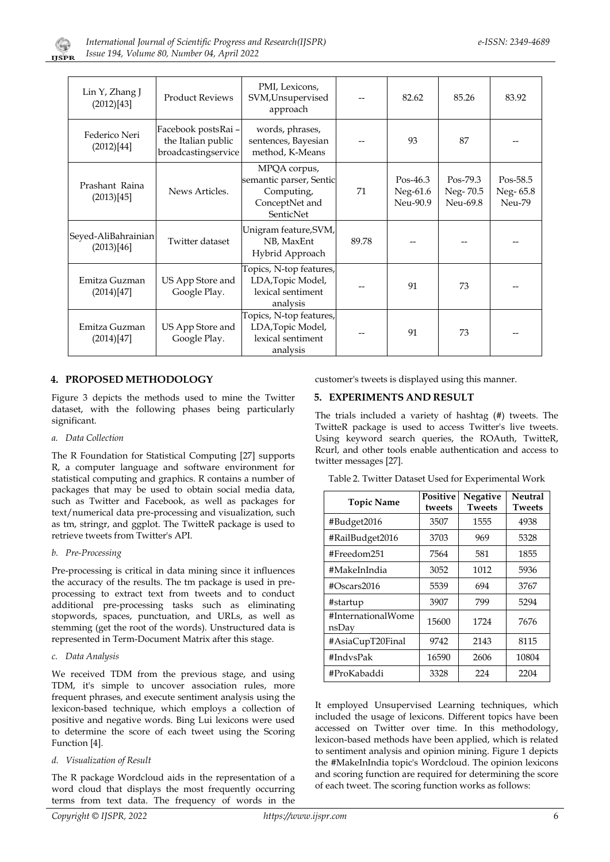

| Lin Y, Zhang J<br>(2012)[43]      | <b>Product Reviews</b>                                          | PMI, Lexicons,<br>SVM, Unsupervised<br>approach                                      |       | 82.62                              | 85.26                            | 83.92                          |
|-----------------------------------|-----------------------------------------------------------------|--------------------------------------------------------------------------------------|-------|------------------------------------|----------------------------------|--------------------------------|
| Federico Neri<br>(2012)[44]       | Facebook postsRai-<br>the Italian public<br>broadcastingservice | words, phrases,<br>sentences, Bayesian<br>method, K-Means                            |       | 93                                 | 87                               |                                |
| Prashant Raina<br>(2013)[45]      | News Articles.                                                  | MPQA corpus,<br>semantic parser, Sentic<br>Computing,<br>ConceptNet and<br>SenticNet | 71    | $Pos-46.3$<br>Neg-61.6<br>Neu-90.9 | Pos-79.3<br>Neg-70.5<br>Neu-69.8 | Pos-58.5<br>Neg-65.8<br>Neu-79 |
| Seyed-AliBahrainian<br>(2013)[46] | Twitter dataset                                                 | Unigram feature, SVM,<br>NB, MaxEnt<br>Hybrid Approach                               | 89.78 |                                    |                                  |                                |
| Emitza Guzman<br>(2014)[47]       | US App Store and<br>Google Play.                                | Topics, N-top features,<br>LDA, Topic Model,<br>lexical sentiment<br>analysis        |       | 91                                 | 73                               |                                |
| Emitza Guzman<br>(2014)[47]       | US App Store and<br>Google Play.                                | Topics, N-top features,<br>LDA, Topic Model,<br>lexical sentiment<br>analysis        |       | 91                                 | 73                               |                                |

# **4. PROPOSED METHODOLOGY**

Figure 3 depicts the methods used to mine the Twitter dataset, with the following phases being particularly significant.

#### *a. Data Collection*

The R Foundation for Statistical Computing [27] supports R, a computer language and software environment for statistical computing and graphics. R contains a number of packages that may be used to obtain social media data, such as Twitter and Facebook, as well as packages for text/numerical data pre-processing and visualization, such as tm, stringr, and ggplot. The TwitteR package is used to retrieve tweets from Twitter's API.

#### *b. Pre-Processing*

Pre-processing is critical in data mining since it influences the accuracy of the results. The tm package is used in preprocessing to extract text from tweets and to conduct additional pre-processing tasks such as eliminating stopwords, spaces, punctuation, and URLs, as well as stemming (get the root of the words). Unstructured data is represented in Term-Document Matrix after this stage.

*c. Data Analysis*

We received TDM from the previous stage, and using TDM, it's simple to uncover association rules, more frequent phrases, and execute sentiment analysis using the lexicon-based technique, which employs a collection of positive and negative words. Bing Lui lexicons were used to determine the score of each tweet using the Scoring Function [4].

#### *d. Visualization of Result*

The R package Wordcloud aids in the representation of a word cloud that displays the most frequently occurring terms from text data. The frequency of words in the customer's tweets is displayed using this manner.

# **5. EXPERIMENTS AND RESULT**

The trials included a variety of hashtag (#) tweets. The TwitteR package is used to access Twitter's live tweets. Using keyword search queries, the ROAuth, TwitteR, Rcurl, and other tools enable authentication and access to twitter messages [27].

|  | Table 2. Twitter Dataset Used for Experimental Work |  |  |  |  |
|--|-----------------------------------------------------|--|--|--|--|
|  |                                                     |  |  |  |  |

| <b>Topic Name</b>           | Positive<br>tweets | Negative<br><b>Tweets</b> | Neutral<br><b>Tweets</b> |
|-----------------------------|--------------------|---------------------------|--------------------------|
| #Budget2016                 | 3507               | 1555                      | 4938                     |
| #RailBudget2016             | 3703               | 969                       | 5328                     |
| #Freedom251                 | 7564               | 581                       | 1855                     |
| #MakeInIndia                | 3052               | 1012                      | 5936                     |
| #Oscars2016                 | 5539               | 694                       | 3767                     |
| #startup                    | 3907               | 799                       | 5294                     |
| #InternationalWome<br>nsDay | 15600              | 1724                      | 7676                     |
| #AsiaCupT20Final            | 9742               | 2143                      | 8115                     |
| #IndvsPak                   | 16590              | 2606                      | 10804                    |
| #ProKabaddi                 | 3328               | 224                       | 2204                     |

It employed Unsupervised Learning techniques, which included the usage of lexicons. Different topics have been accessed on Twitter over time. In this methodology, lexicon-based methods have been applied, which is related to sentiment analysis and opinion mining. Figure 1 depicts the #MakeInIndia topic's Wordcloud. The opinion lexicons and scoring function are required for determining the score of each tweet. The scoring function works as follows: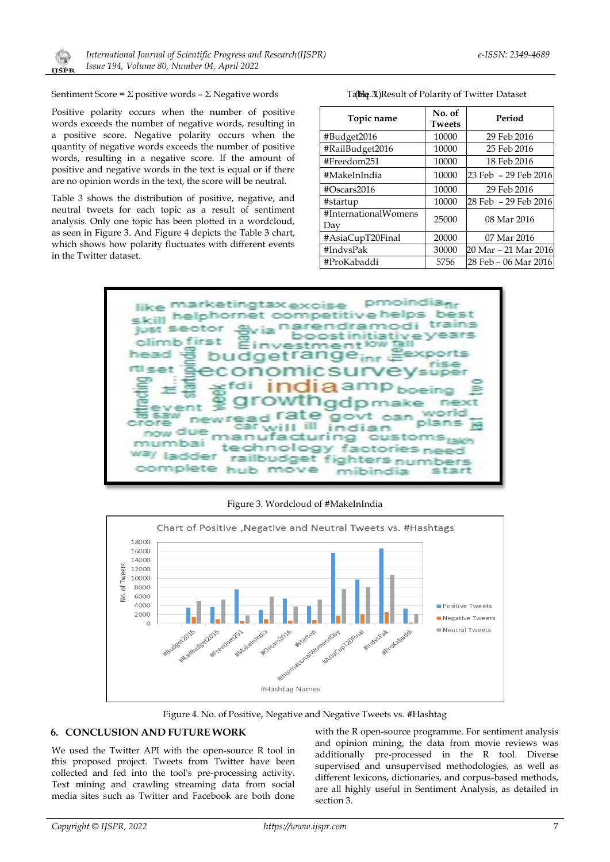

Sentiment Score =  $\Sigma$  positive words –  $\Sigma$  Negative words

Positive polarity occurs when the number of positive words exceeds the number of negative words, resulting in a positive score. Negative polarity occurs when the quantity of negative words exceeds the number of positive words, resulting in a negative score. If the amount of positive and negative words in the text is equal or if there are no opinion words in the text, the score will be neutral.

Table 3 shows the distribution of positive, negative, and neutral tweets for each topic as a result of sentiment analysis. Only one topic has been plotted in a wordcloud, as seen in Figure 3. And Figure 4 depicts the Table 3 chart, which shows how polarity fluctuates with different events in the Twitter dataset.

Table 3. Result of Polarity of Twitter Dataset

| Topic name                  | No. of<br><b>Tweets</b> | Period               |
|-----------------------------|-------------------------|----------------------|
| #Budget2016                 | 10000                   | 29 Feb 2016          |
| #RailBudget2016             | 10000                   | 25 Feb 2016          |
| #Freedom251                 | 10000                   | 18 Feb 2016          |
| #MakeInIndia                | 10000                   | 23 Feb - 29 Feb 2016 |
| #Oscars2016                 | 10000                   | 29 Feb 2016          |
| #startup                    | 10000                   | 28 Feb - 29 Feb 2016 |
| #InternationalWomens<br>Day | 25000                   | 08 Mar 2016          |
| #AsiaCupT20Final            | 20000                   | 07 Mar 2016          |
| #IndvsPak                   | 30000                   | 20 Mar - 21 Mar 2016 |
| #ProKabaddi                 | 5756                    | 28 Feb - 06 Mar 2016 |



Figure 3. Wordcloud of #MakeInIndia



Figure 4. No. of Positive, Negative and Negative Tweets vs. #Hashtag

# **6. CONCLUSION AND FUTURE WORK**

We used the Twitter API with the open-source R tool in this proposed project. Tweets from Twitter have been collected and fed into the tool's pre-processing activity. Text mining and crawling streaming data from social media sites such as Twitter and Facebook are both done

with the R open-source programme. For sentiment analysis and opinion mining, the data from movie reviews was additionally pre-processed in the R tool. Diverse supervised and unsupervised methodologies, as well as different lexicons, dictionaries, and corpus-based methods, are all highly useful in Sentiment Analysis, as detailed in section 3.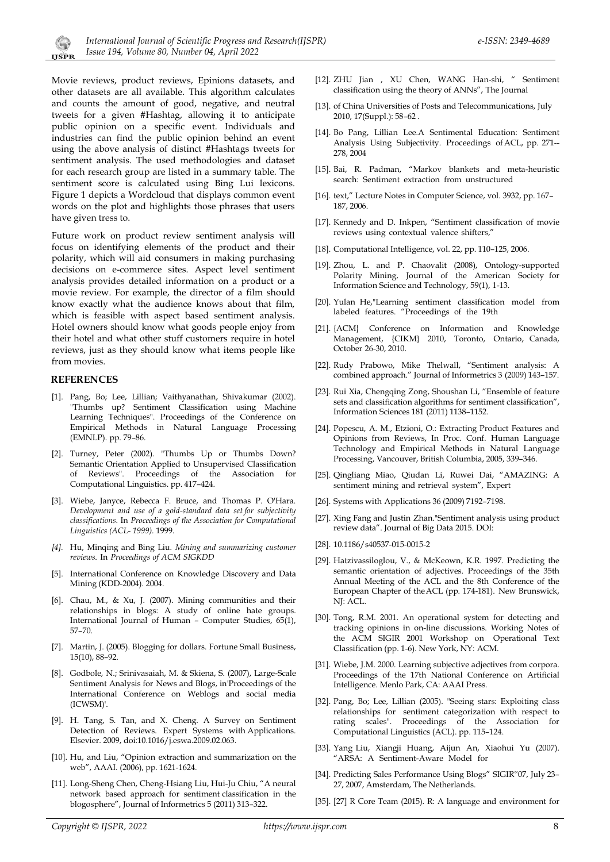Movie reviews, product reviews, Epinions datasets, and other datasets are all available. This algorithm calculates and counts the amount of good, negative, and neutral tweets for a given #Hashtag, allowing it to anticipate public opinion on a specific event. Individuals and industries can find the public opinion behind an event using the above analysis of distinct #Hashtags tweets for sentiment analysis. The used methodologies and dataset for each research group are listed in a summary table. The sentiment score is calculated using Bing Lui lexicons. Figure 1 depicts a Wordcloud that displays common event words on the plot and highlights those phrases that users have given tress to.

Future work on product review sentiment analysis will focus on identifying elements of the product and their polarity, which will aid consumers in making purchasing decisions on e-commerce sites. Aspect level sentiment analysis provides detailed information on a product or a movie review. For example, the director of a film should know exactly what the audience knows about that film, which is feasible with aspect based sentiment analysis. Hotel owners should know what goods people enjoy from their hotel and what other stuff customers require in hotel reviews, just as they should know what items people like from movies.

#### **REFERENCES**

 $\left(\begin{smallmatrix} \cdot & \cdot \\ \cdot & \cdot \end{smallmatrix}\right)$ 

- [1]. Pang, Bo; Lee, Lillian; Vaithyanathan, Shivakumar (2002). "Thumbs up? Sentiment Classification using Machine Learning Techniques". Proceedings of the Conference on Empirical Methods in Natural Language Processing (EMNLP). pp. 79–86.
- [2]. Turney, Peter (2002). "Thumbs Up or Thumbs Down? Semantic Orientation Applied to Unsupervised Classification of Reviews". Proceedings of the Association for Computational Linguistics. pp. 417–424.
- [3]. Wiebe, Janyce, Rebecca F. Bruce, and Thomas P. O'Hara. *Development and use of a gold-standard data set for subjectivity classifications*. In *Proceedings of the Association for Computational Linguistics (ACL- 1999)*. 1999.
- *[4].* Hu, Minqing and Bing Liu. *Mining and summarizing customer reviews*. In *Proceedings of ACM SIGKDD*
- [5]. International Conference on Knowledge Discovery and Data Mining (KDD-2004). 2004.
- [6]. Chau, M., & Xu, J. (2007). Mining communities and their relationships in blogs: A study of online hate groups. International Journal of Human – Computer Studies, 65(1), 57–70.
- [7]. Martin, J. (2005). Blogging for dollars. Fortune Small Business, 15(10), 88–92.
- [8]. Godbole, N.; Srinivasaiah, M. & Skiena, S. (2007), Large-Scale Sentiment Analysis for News and Blogs, in'Proceedings of the International Conference on Weblogs and social media (ICWSM)'.
- [9]. H. Tang, S. Tan, and X. Cheng. A Survey on Sentiment Detection of Reviews. Expert Systems with Applications. Elsevier. 2009, doi:10.1016/j.eswa.2009.02.063.
- [10]. Hu, and Liu, "Opinion extraction and summarization on the web", AAAI. (2006), pp. 1621-1624.
- [11]. Long-Sheng Chen, Cheng-Hsiang Liu, Hui-Ju Chiu, "A neural network based approach for sentiment classification in the blogosphere", Journal of Informetrics 5 (2011) 313–322.
- [12]. ZHU Jian , XU Chen, WANG Han-shi, " Sentiment classification using the theory of ANNs", The Journal
- [13]. of China Universities of Posts and Telecommunications, July 2010, 17(Suppl.): 58–62 .
- [14]. Bo Pang, Lillian Lee.A Sentimental Education: Sentiment Analysis Using Subjectivity. Proceedings ofACL, pp. 271-- 278, 2004
- [15]. Bai, R. Padman, "Markov blankets and meta-heuristic search: Sentiment extraction from unstructured
- [16]. text," Lecture Notes in Computer Science, vol. 3932, pp. 167– 187, 2006.
- [17]. Kennedy and D. Inkpen, "Sentiment classification of movie reviews using contextual valence shifters,"
- [18]. Computational Intelligence, vol. 22, pp. 110–125, 2006.
- [19]. Zhou, L. and P. Chaovalit (2008), Ontology-supported Polarity Mining, Journal of the American Society for Information Science and Technology, 59(1), 1-13.
- [20]. Yulan He,"Learning sentiment classification model from labeled features. "Proceedings of the 19th
- [21]. {ACM} Conference on Information and Knowledge Management, {CIKM} 2010, Toronto, Ontario, Canada, October 26-30, 2010.
- [22]. Rudy Prabowo, Mike Thelwall, "Sentiment analysis: A combined approach." Journal of Informetrics 3 (2009) 143–157.
- [23]. Rui Xia, Chengqing Zong, Shoushan Li, "Ensemble of feature sets and classification algorithms for sentiment classification", Information Sciences 181 (2011) 1138–1152.
- [24]. Popescu, A. M., Etzioni, O.: Extracting Product Features and Opinions from Reviews, In Proc. Conf. Human Language Technology and Empirical Methods in Natural Language Processing, Vancouver, British Columbia, 2005, 339–346.
- [25]. Qingliang Miao, Qiudan Li, Ruwei Dai, "AMAZING: A sentiment mining and retrieval system", Expert
- [26]. Systems with Applications 36 (2009) 7192–7198.
- [27]. Xing Fang and Justin Zhan."Sentiment analysis using product review data". Journal of Big Data 2015. DOI:
- [28]. 10.1186/s40537-015-0015-2
- [29]. Hatzivassiloglou, V., & McKeown, K.R. 1997. Predicting the semantic orientation of adjectives. Proceedings of the 35th Annual Meeting of the ACL and the 8th Conference of the European Chapter of theACL (pp. 174-181). New Brunswick, NJ: ACL.
- [30]. Tong, R.M. 2001. An operational system for detecting and tracking opinions in on-line discussions. Working Notes of the ACM SIGIR 2001 Workshop on Operational Text Classification (pp. 1-6). New York, NY: ACM.
- [31]. Wiebe, J.M. 2000. Learning subjective adjectives from corpora. Proceedings of the 17th National Conference on Artificial Intelligence. Menlo Park, CA: AAAI Press.
- [32]. Pang, Bo; Lee, Lillian (2005). "Seeing stars: Exploiting class relationships for sentiment categorization with respect to rating scales". Proceedings of the Association for Computational Linguistics (ACL). pp. 115–124.
- [33]. Yang Liu, Xiangji Huang, Aijun An, Xiaohui Yu (2007). "ARSA: A Sentiment-Aware Model for
- [34]. Predicting Sales Performance Using Blogs" SIGIR"07, July 23– 27, 2007, Amsterdam, The Netherlands.
- [35]. [27] R Core Team (2015). R: A language and environment for